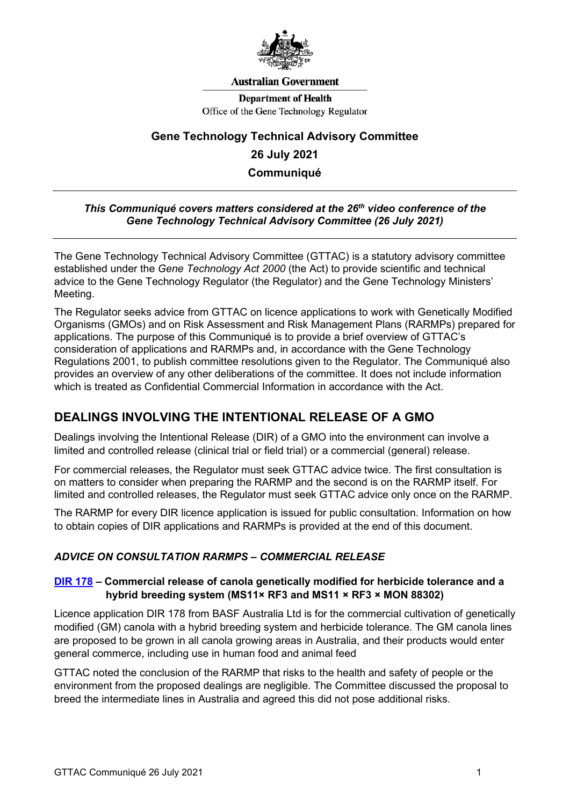

#### **Australian Government**

**Department of Health** Office of the Gene Technology Regulator

# **Gene Technology Technical Advisory Committee 26 July 2021 Communiqué**

#### *This Communiqué covers matters considered at the 26th video conference of the Gene Technology Technical Advisory Committee (26 July 2021)*

The Gene Technology Technical Advisory Committee (GTTAC) is a statutory advisory committee established under the *Gene Technology Act 2000* (the Act) to provide scientific and technical advice to the Gene Technology Regulator (the Regulator) and the Gene Technology Ministers' Meeting.

The Regulator seeks advice from GTTAC on licence applications to work with Genetically Modified Organisms (GMOs) and on Risk Assessment and Risk Management Plans (RARMPs) prepared for applications. The purpose of this Communiqué is to provide a brief overview of GTTAC's consideration of applications and RARMPs and, in accordance with the Gene Technology Regulations 2001, to publish committee resolutions given to the Regulator. The Communiqué also provides an overview of any other deliberations of the committee. It does not include information which is treated as Confidential Commercial Information in accordance with the Act.

### **DEALINGS INVOLVING THE INTENTIONAL RELEASE OF A GMO**

Dealings involving the Intentional Release (DIR) of a GMO into the environment can involve a limited and controlled release (clinical trial or field trial) or a commercial (general) release.

For commercial releases, the Regulator must seek GTTAC advice twice. The first consultation is on matters to consider when preparing the RARMP and the second is on the RARMP itself. For limited and controlled releases, the Regulator must seek GTTAC advice only once on the RARMP.

The RARMP for every DIR licence application is issued for public consultation. Information on how to obtain copies of DIR applications and RARMPs is provided at the end of this document.

### *ADVICE ON CONSULTATION RARMPS – COMMERCIAL RELEASE*

### **[DIR 178](http://www.ogtr.gov.au/internet/ogtr/publishing.nsf/Content/DIR178) – Commercial release of canola genetically modified for herbicide tolerance and a hybrid breeding system (MS11× RF3 and MS11 × RF3 × MON 88302)**

Licence application DIR 178 from BASF Australia Ltd is for the commercial cultivation of genetically modified (GM) canola with a hybrid breeding system and herbicide tolerance. The GM canola lines are proposed to be grown in all canola growing areas in Australia, and their products would enter general commerce, including use in human food and animal feed

GTTAC noted the conclusion of the RARMP that risks to the health and safety of people or the environment from the proposed dealings are negligible. The Committee discussed the proposal to breed the intermediate lines in Australia and agreed this did not pose additional risks.